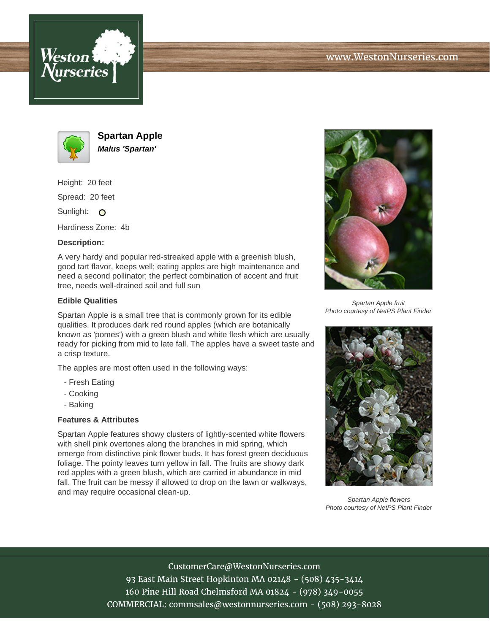



**Spartan Apple Malus 'Spartan'**

Height: 20 feet Spread: 20 feet

Sunlight: O

Hardiness Zone: 4b

## **Description:**

A very hardy and popular red-streaked apple with a greenish blush, good tart flavor, keeps well; eating apples are high maintenance and need a second pollinator; the perfect combination of accent and fruit tree, needs well-drained soil and full sun

## **Edible Qualities**

Spartan Apple is a small tree that is commonly grown for its edible qualities. It produces dark red round apples (which are botanically known as 'pomes') with a green blush and white flesh which are usually ready for picking from mid to late fall. The apples have a sweet taste and a crisp texture.

The apples are most often used in the following ways:

- Fresh Eating
- Cooking
- Baking

## **Features & Attributes**

Spartan Apple features showy clusters of lightly-scented white flowers with shell pink overtones along the branches in mid spring, which emerge from distinctive pink flower buds. It has forest green deciduous foliage. The pointy leaves turn yellow in fall. The fruits are showy dark red apples with a green blush, which are carried in abundance in mid fall. The fruit can be messy if allowed to drop on the lawn or walkways, and may require occasional clean-up.



Spartan Apple fruit Photo courtesy of NetPS Plant Finder



Spartan Apple flowers Photo courtesy of NetPS Plant Finder

CustomerCare@WestonNurseries.com 93 East Main Street Hopkinton MA 02148 - (508) 435-3414 160 Pine Hill Road Chelmsford MA 01824 - (978) 349-0055 COMMERCIAL: commsales@westonnurseries.com - (508) 293-8028